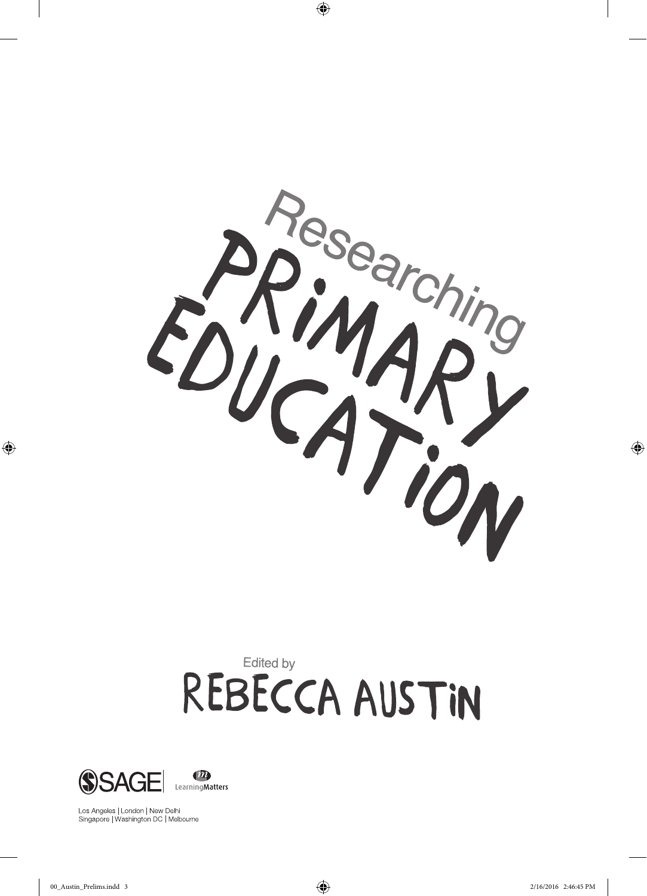

 $\bigoplus$ 

# Edited by REBECCA AUSTIN



Los Angeles | London | New Delhi<br>Singapore | Washington DC | Melbourne

⊕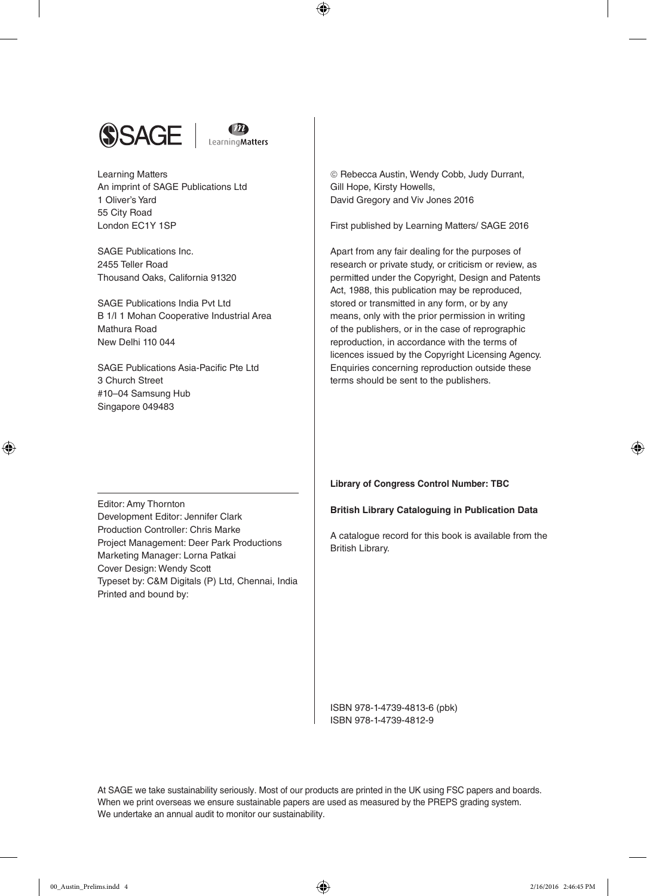



 $\bm \Theta$ 

Learning Matters An imprint of SAGE Publications Ltd 1 Oliver's Yard 55 City Road London EC1Y 1SP

SAGE Publications Inc. 2455 Teller Road Thousand Oaks, California 91320

SAGE Publications India Pvt Ltd B 1/I 1 Mohan Cooperative Industrial Area Mathura Road New Delhi 110 044

SAGE Publications Asia-Pacific Pte Ltd 3 Church Street #10–04 Samsung Hub Singapore 049483

 Rebecca Austin, Wendy Cobb, Judy Durrant, Gill Hope, Kirsty Howells, David Gregory and Viv Jones 2016

First published by Learning Matters/ SAGE 2016

Apart from any fair dealing for the purposes of research or private study, or criticism or review, as permitted under the Copyright, Design and Patents Act, 1988, this publication may be reproduced, stored or transmitted in any form, or by any means, only with the prior permission in writing of the publishers, or in the case of reprographic reproduction, in accordance with the terms of licences issued by the Copyright Licensing Agency. Enquiries concerning reproduction outside these terms should be sent to the publishers.

Editor: Amy Thornton Development Editor: Jennifer Clark Production Controller: Chris Marke Project Management: Deer Park Productions Marketing Manager: Lorna Patkai Cover Design: Wendy Scott Typeset by: C&M Digitals (P) Ltd, Chennai, India Printed and bound by:

**Library of Congress Control Number: TBC**

#### **British Library Cataloguing in Publication Data**

A catalogue record for this book is available from the British Library.

ISBN 978-1-4739-4813-6 (pbk) ISBN 978-1-4739-4812-9

At SAGE we take sustainability seriously. Most of our products are printed in the UK using FSC papers and boards. When we print overseas we ensure sustainable papers are used as measured by the PREPS grading system. We undertake an annual audit to monitor our sustainability.

⊕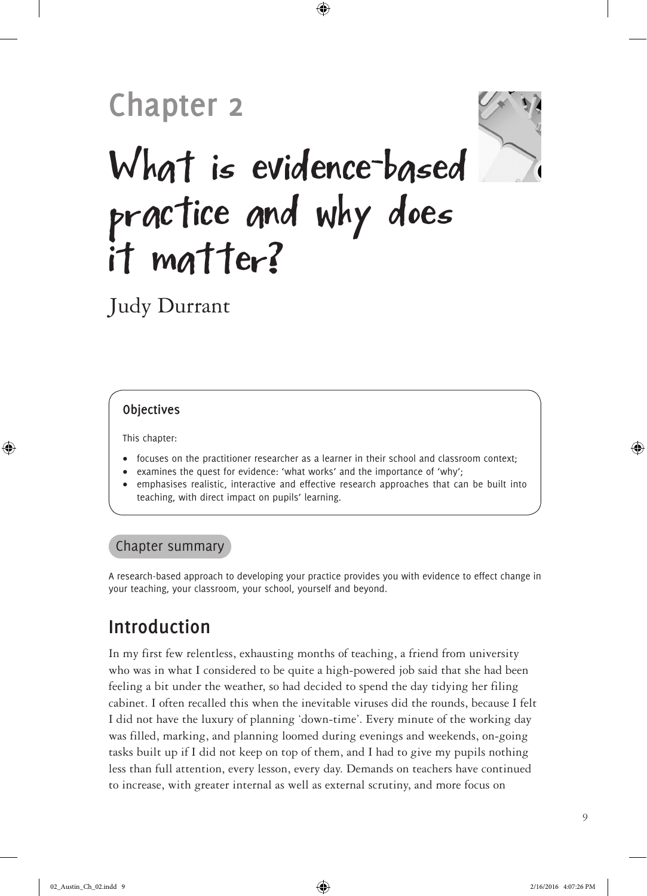# **Chapter 2**



# What is evidence-based practice and why does it matter?

⊕

Judy Durrant

#### **Objectives**

This chapter:

⊕

- focuses on the practitioner researcher as a learner in their school and classroom context;
- examines the quest for evidence: 'what works' and the importance of 'why';
- emphasises realistic, interactive and effective research approaches that can be built into teaching, with direct impact on pupils' learning.

#### Chapter summary

A research-based approach to developing your practice provides you with evidence to effect change in your teaching, your classroom, your school, yourself and beyond.

## **Introduction**

In my first few relentless, exhausting months of teaching, a friend from university who was in what I considered to be quite a high-powered job said that she had been feeling a bit under the weather, so had decided to spend the day tidying her filing cabinet. I often recalled this when the inevitable viruses did the rounds, because I felt I did not have the luxury of planning 'down-time'. Every minute of the working day was filled, marking, and planning loomed during evenings and weekends, on-going tasks built up if I did not keep on top of them, and I had to give my pupils nothing less than full attention, every lesson, every day. Demands on teachers have continued to increase, with greater internal as well as external scrutiny, and more focus on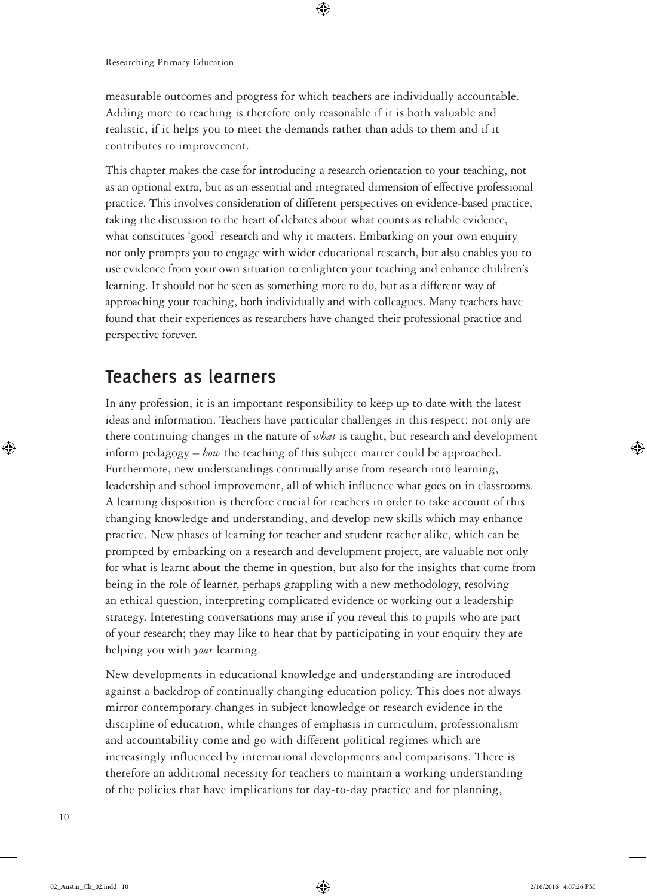measurable outcomes and progress for which teachers are individually accountable. Adding more to teaching is therefore only reasonable if it is both valuable and realistic, if it helps you to meet the demands rather than adds to them and if it contributes to improvement.

 $\bm \Theta$ 

This chapter makes the case for introducing a research orientation to your teaching, not as an optional extra, but as an essential and integrated dimension of effective professional practice. This involves consideration of different perspectives on evidence-based practice, taking the discussion to the heart of debates about what counts as reliable evidence, what constitutes 'good' research and why it matters. Embarking on your own enquiry not only prompts you to engage with wider educational research, but also enables you to use evidence from your own situation to enlighten your teaching and enhance children's learning. It should not be seen as something more to do, but as a different way of approaching your teaching, both individually and with colleagues. Many teachers have found that their experiences as researchers have changed their professional practice and perspective forever.

## **Teachers as learners**

In any profession, it is an important responsibility to keep up to date with the latest ideas and information. Teachers have particular challenges in this respect: not only are there continuing changes in the nature of *what* is taught, but research and development inform pedagogy – *how* the teaching of this subject matter could be approached. Furthermore, new understandings continually arise from research into learning, leadership and school improvement, all of which influence what goes on in classrooms. A learning disposition is therefore crucial for teachers in order to take account of this changing knowledge and understanding, and develop new skills which may enhance practice. New phases of learning for teacher and student teacher alike, which can be prompted by embarking on a research and development project, are valuable not only for what is learnt about the theme in question, but also for the insights that come from being in the role of learner, perhaps grappling with a new methodology, resolving an ethical question, interpreting complicated evidence or working out a leadership strategy. Interesting conversations may arise if you reveal this to pupils who are part of your research; they may like to hear that by participating in your enquiry they are helping you with *your* learning.

New developments in educational knowledge and understanding are introduced against a backdrop of continually changing education policy. This does not always mirror contemporary changes in subject knowledge or research evidence in the discipline of education, while changes of emphasis in curriculum, professionalism and accountability come and go with different political regimes which are increasingly influenced by international developments and comparisons. There is therefore an additional necessity for teachers to maintain a working understanding of the policies that have implications for day-to-day practice and for planning,

⊕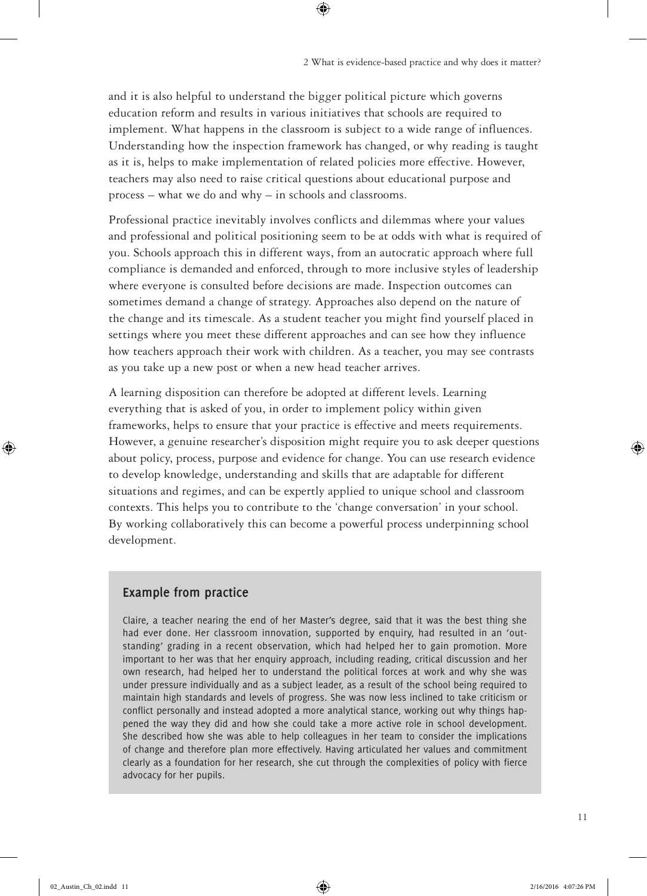and it is also helpful to understand the bigger political picture which governs education reform and results in various initiatives that schools are required to implement. What happens in the classroom is subject to a wide range of influences. Understanding how the inspection framework has changed, or why reading is taught as it is, helps to make implementation of related policies more effective. However, teachers may also need to raise critical questions about educational purpose and process – what we do and why – in schools and classrooms.

 $\bigoplus$ 

Professional practice inevitably involves conflicts and dilemmas where your values and professional and political positioning seem to be at odds with what is required of you. Schools approach this in different ways, from an autocratic approach where full compliance is demanded and enforced, through to more inclusive styles of leadership where everyone is consulted before decisions are made. Inspection outcomes can sometimes demand a change of strategy. Approaches also depend on the nature of the change and its timescale. As a student teacher you might find yourself placed in settings where you meet these different approaches and can see how they influence how teachers approach their work with children. As a teacher, you may see contrasts as you take up a new post or when a new head teacher arrives.

A learning disposition can therefore be adopted at different levels. Learning everything that is asked of you, in order to implement policy within given frameworks, helps to ensure that your practice is effective and meets requirements. However, a genuine researcher's disposition might require you to ask deeper questions about policy, process, purpose and evidence for change. You can use research evidence to develop knowledge, understanding and skills that are adaptable for different situations and regimes, and can be expertly applied to unique school and classroom contexts. This helps you to contribute to the 'change conversation' in your school. By working collaboratively this can become a powerful process underpinning school development.

#### **Example from practice**

Claire, a teacher nearing the end of her Master's degree, said that it was the best thing she had ever done. Her classroom innovation, supported by enquiry, had resulted in an 'outstanding' grading in a recent observation, which had helped her to gain promotion. More important to her was that her enquiry approach, including reading, critical discussion and her own research, had helped her to understand the political forces at work and why she was under pressure individually and as a subject leader, as a result of the school being required to maintain high standards and levels of progress. She was now less inclined to take criticism or conflict personally and instead adopted a more analytical stance, working out why things happened the way they did and how she could take a more active role in school development. She described how she was able to help colleagues in her team to consider the implications of change and therefore plan more effectively. Having articulated her values and commitment clearly as a foundation for her research, she cut through the complexities of policy with fierce advocacy for her pupils.

⊕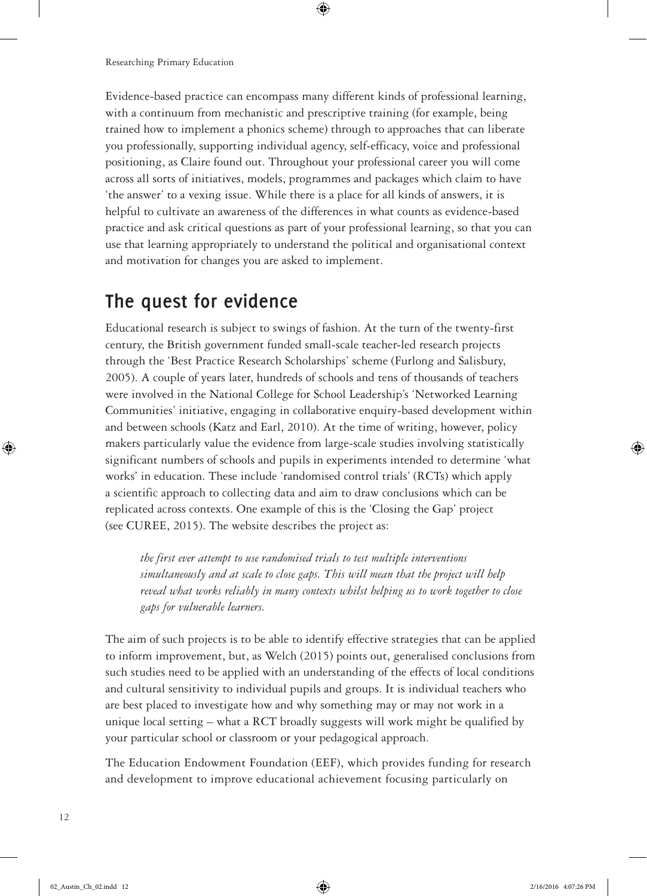Evidence-based practice can encompass many different kinds of professional learning, with a continuum from mechanistic and prescriptive training (for example, being trained how to implement a phonics scheme) through to approaches that can liberate you professionally, supporting individual agency, self-efficacy, voice and professional positioning, as Claire found out. Throughout your professional career you will come across all sorts of initiatives, models, programmes and packages which claim to have 'the answer' to a vexing issue. While there is a place for all kinds of answers, it is helpful to cultivate an awareness of the differences in what counts as evidence-based practice and ask critical questions as part of your professional learning, so that you can use that learning appropriately to understand the political and organisational context and motivation for changes you are asked to implement.

 $\circledast$ 

## **The quest for evidence**

Educational research is subject to swings of fashion. At the turn of the twenty-first century, the British government funded small-scale teacher-led research projects through the 'Best Practice Research Scholarships' scheme (Furlong and Salisbury, 2005). A couple of years later, hundreds of schools and tens of thousands of teachers were involved in the National College for School Leadership's 'Networked Learning Communities' initiative, engaging in collaborative enquiry-based development within and between schools (Katz and Earl, 2010). At the time of writing, however, policy makers particularly value the evidence from large-scale studies involving statistically significant numbers of schools and pupils in experiments intended to determine 'what works' in education. These include 'randomised control trials' (RCTs) which apply a scientific approach to collecting data and aim to draw conclusions which can be replicated across contexts. One example of this is the 'Closing the Gap' project (see CUREE, 2015). The website describes the project as:

*the first ever attempt to use randomised trials to test multiple interventions simultaneously and at scale to close gaps. This will mean that the project will help reveal what works reliably in many contexts whilst helping us to work together to close gaps for vulnerable learners.*

The aim of such projects is to be able to identify effective strategies that can be applied to inform improvement, but, as Welch (2015) points out, generalised conclusions from such studies need to be applied with an understanding of the effects of local conditions and cultural sensitivity to individual pupils and groups. It is individual teachers who are best placed to investigate how and why something may or may not work in a unique local setting – what a RCT broadly suggests will work might be qualified by your particular school or classroom or your pedagogical approach.

The Education Endowment Foundation (EEF), which provides funding for research and development to improve educational achievement focusing particularly on

⊕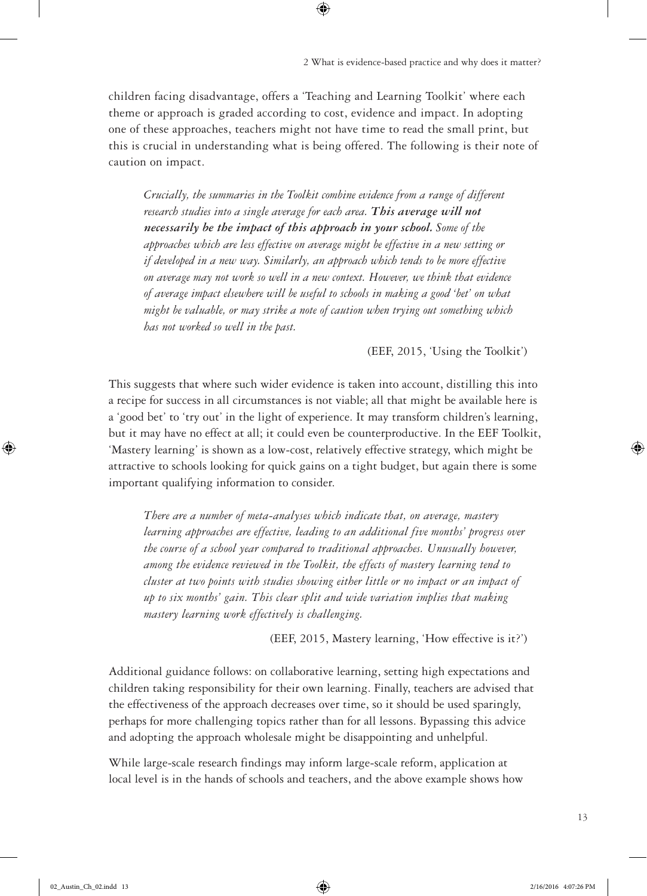children facing disadvantage, offers a 'Teaching and Learning Toolkit' where each theme or approach is graded according to cost, evidence and impact. In adopting one of these approaches, teachers might not have time to read the small print, but this is crucial in understanding what is being offered. The following is their note of caution on impact.

 $\bigoplus$ 

*Crucially, the summaries in the Toolkit combine evidence from a range of different research studies into a single average for each area. This average will not necessarily be the impact of this approach in your school. Some of the approaches which are less effective on average might be effective in a new setting or if developed in a new way. Similarly, an approach which tends to be more effective on average may not work so well in a new context. However, we think that evidence of average impact elsewhere will be useful to schools in making a good 'bet' on what might be valuable, or may strike a note of caution when trying out something which has not worked so well in the past.*

(EEF, 2015, 'Using the Toolkit')

This suggests that where such wider evidence is taken into account, distilling this into a recipe for success in all circumstances is not viable; all that might be available here is a 'good bet' to 'try out' in the light of experience. It may transform children's learning, but it may have no effect at all; it could even be counterproductive. In the EEF Toolkit, 'Mastery learning' is shown as a low-cost, relatively effective strategy, which might be attractive to schools looking for quick gains on a tight budget, but again there is some important qualifying information to consider.

*There are a number of meta-analyses which indicate that, on average, mastery learning approaches are effective, leading to an additional five months' progress over the course of a school year compared to traditional approaches. Unusually however, among the evidence reviewed in the Toolkit, the effects of mastery learning tend to cluster at two points with studies showing either little or no impact or an impact of up to six months' gain. This clear split and wide variation implies that making mastery learning work effectively is challenging.*

(EEF, 2015, Mastery learning, 'How effective is it?')

Additional guidance follows: on collaborative learning, setting high expectations and children taking responsibility for their own learning. Finally, teachers are advised that the effectiveness of the approach decreases over time, so it should be used sparingly, perhaps for more challenging topics rather than for all lessons. Bypassing this advice and adopting the approach wholesale might be disappointing and unhelpful.

While large-scale research findings may inform large-scale reform, application at local level is in the hands of schools and teachers, and the above example shows how ⊕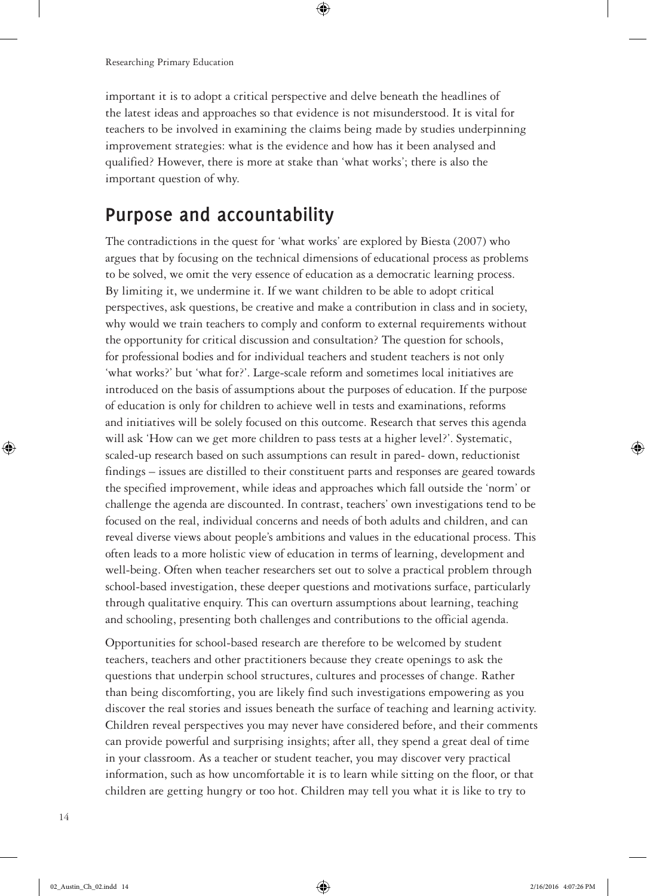important it is to adopt a critical perspective and delve beneath the headlines of the latest ideas and approaches so that evidence is not misunderstood. It is vital for teachers to be involved in examining the claims being made by studies underpinning improvement strategies: what is the evidence and how has it been analysed and qualified? However, there is more at stake than 'what works'; there is also the important question of why.

 $\bm \Theta$ 

#### **Purpose and accountability**

The contradictions in the quest for 'what works' are explored by Biesta (2007) who argues that by focusing on the technical dimensions of educational process as problems to be solved, we omit the very essence of education as a democratic learning process. By limiting it, we undermine it. If we want children to be able to adopt critical perspectives, ask questions, be creative and make a contribution in class and in society, why would we train teachers to comply and conform to external requirements without the opportunity for critical discussion and consultation? The question for schools, for professional bodies and for individual teachers and student teachers is not only 'what works?' but 'what for?'. Large-scale reform and sometimes local initiatives are introduced on the basis of assumptions about the purposes of education. If the purpose of education is only for children to achieve well in tests and examinations, reforms and initiatives will be solely focused on this outcome. Research that serves this agenda will ask 'How can we get more children to pass tests at a higher level?'. Systematic, scaled-up research based on such assumptions can result in pared- down, reductionist findings – issues are distilled to their constituent parts and responses are geared towards the specified improvement, while ideas and approaches which fall outside the 'norm' or challenge the agenda are discounted. In contrast, teachers' own investigations tend to be focused on the real, individual concerns and needs of both adults and children, and can reveal diverse views about people's ambitions and values in the educational process. This often leads to a more holistic view of education in terms of learning, development and well-being. Often when teacher researchers set out to solve a practical problem through school-based investigation, these deeper questions and motivations surface, particularly through qualitative enquiry. This can overturn assumptions about learning, teaching and schooling, presenting both challenges and contributions to the official agenda.

Opportunities for school-based research are therefore to be welcomed by student teachers, teachers and other practitioners because they create openings to ask the questions that underpin school structures, cultures and processes of change. Rather than being discomforting, you are likely find such investigations empowering as you discover the real stories and issues beneath the surface of teaching and learning activity. Children reveal perspectives you may never have considered before, and their comments can provide powerful and surprising insights; after all, they spend a great deal of time in your classroom. As a teacher or student teacher, you may discover very practical information, such as how uncomfortable it is to learn while sitting on the floor, or that children are getting hungry or too hot. Children may tell you what it is like to try to

14

⊕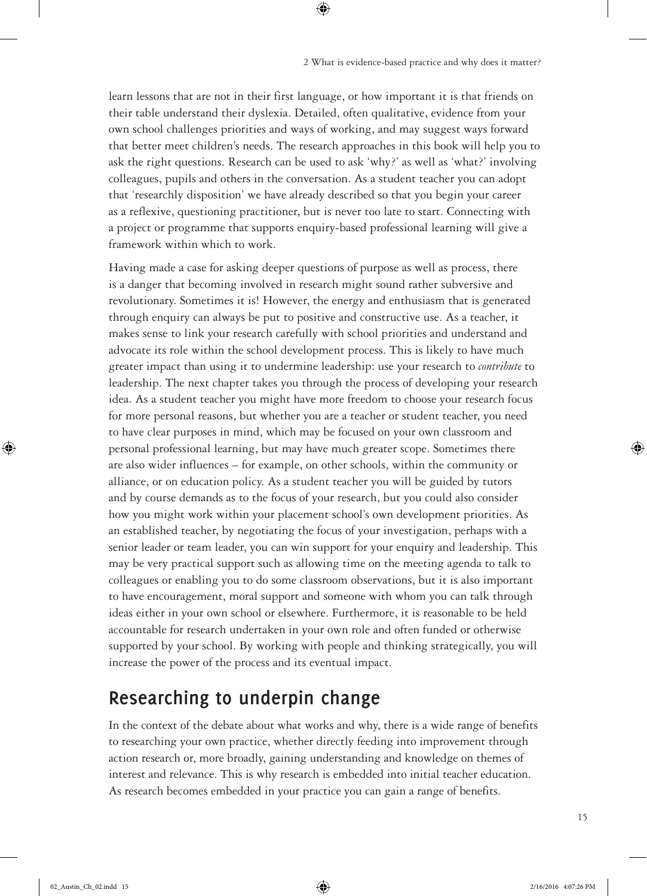learn lessons that are not in their first language, or how important it is that friends on their table understand their dyslexia. Detailed, often qualitative, evidence from your own school challenges priorities and ways of working, and may suggest ways forward that better meet children's needs. The research approaches in this book will help you to ask the right questions. Research can be used to ask 'why?' as well as 'what?' involving colleagues, pupils and others in the conversation. As a student teacher you can adopt that 'researchly disposition' we have already described so that you begin your career as a reflexive, questioning practitioner, but is never too late to start. Connecting with a project or programme that supports enquiry-based professional learning will give a framework within which to work.

 $\bigoplus$ 

Having made a case for asking deeper questions of purpose as well as process, there is a danger that becoming involved in research might sound rather subversive and revolutionary. Sometimes it is! However, the energy and enthusiasm that is generated through enquiry can always be put to positive and constructive use. As a teacher, it makes sense to link your research carefully with school priorities and understand and advocate its role within the school development process. This is likely to have much greater impact than using it to undermine leadership: use your research to *contribute* to leadership. The next chapter takes you through the process of developing your research idea. As a student teacher you might have more freedom to choose your research focus for more personal reasons, but whether you are a teacher or student teacher, you need to have clear purposes in mind, which may be focused on your own classroom and personal professional learning, but may have much greater scope. Sometimes there are also wider influences – for example, on other schools, within the community or alliance, or on education policy. As a student teacher you will be guided by tutors and by course demands as to the focus of your research, but you could also consider how you might work within your placement school's own development priorities. As an established teacher, by negotiating the focus of your investigation, perhaps with a senior leader or team leader, you can win support for your enquiry and leadership. This may be very practical support such as allowing time on the meeting agenda to talk to colleagues or enabling you to do some classroom observations, but it is also important to have encouragement, moral support and someone with whom you can talk through ideas either in your own school or elsewhere. Furthermore, it is reasonable to be held accountable for research undertaken in your own role and often funded or otherwise supported by your school. By working with people and thinking strategically, you will increase the power of the process and its eventual impact.

## **Researching to underpin change**

In the context of the debate about what works and why, there is a wide range of benefits to researching your own practice, whether directly feeding into improvement through action research or, more broadly, gaining understanding and knowledge on themes of interest and relevance. This is why research is embedded into initial teacher education. As research becomes embedded in your practice you can gain a range of benefits.

⊕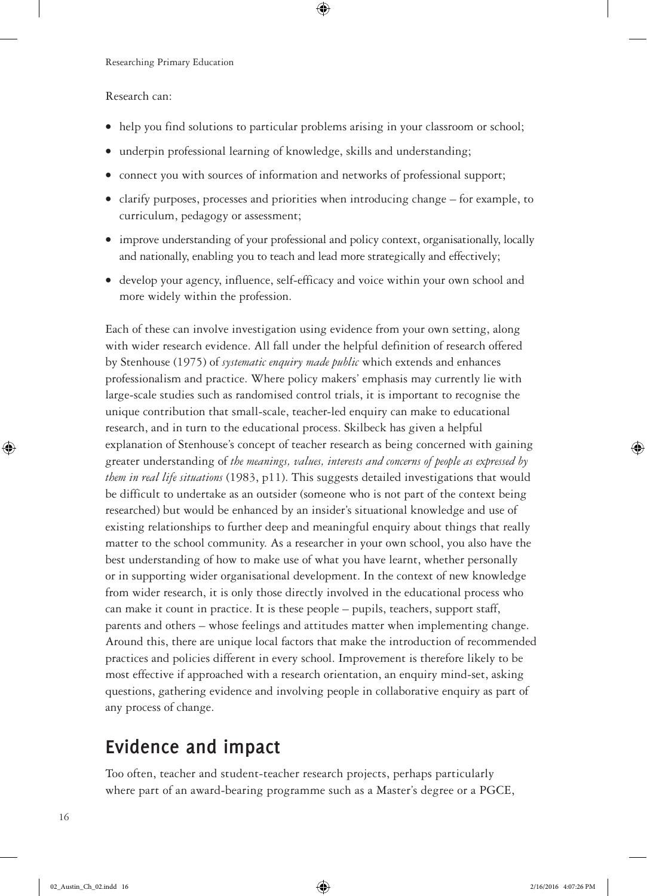Research can:

• help you find solutions to particular problems arising in your classroom or school;

 $\circledast$ 

- underpin professional learning of knowledge, skills and understanding;
- connect you with sources of information and networks of professional support;
- clarify purposes, processes and priorities when introducing change for example, to curriculum, pedagogy or assessment;
- improve understanding of your professional and policy context, organisationally, locally and nationally, enabling you to teach and lead more strategically and effectively;
- develop your agency, influence, self-efficacy and voice within your own school and more widely within the profession.

Each of these can involve investigation using evidence from your own setting, along with wider research evidence. All fall under the helpful definition of research offered by Stenhouse (1975) of *systematic enquiry made public* which extends and enhances professionalism and practice. Where policy makers' emphasis may currently lie with large-scale studies such as randomised control trials, it is important to recognise the unique contribution that small-scale, teacher-led enquiry can make to educational research, and in turn to the educational process. Skilbeck has given a helpful explanation of Stenhouse's concept of teacher research as being concerned with gaining greater understanding of *the meanings, values, interests and concerns of people as expressed by them in real life situations* (1983, p11). This suggests detailed investigations that would be difficult to undertake as an outsider (someone who is not part of the context being researched) but would be enhanced by an insider's situational knowledge and use of existing relationships to further deep and meaningful enquiry about things that really matter to the school community. As a researcher in your own school, you also have the best understanding of how to make use of what you have learnt, whether personally or in supporting wider organisational development. In the context of new knowledge from wider research, it is only those directly involved in the educational process who can make it count in practice. It is these people – pupils, teachers, support staff, parents and others – whose feelings and attitudes matter when implementing change. Around this, there are unique local factors that make the introduction of recommended practices and policies different in every school. Improvement is therefore likely to be most effective if approached with a research orientation, an enquiry mind-set, asking questions, gathering evidence and involving people in collaborative enquiry as part of any process of change.

## **Evidence and impact**

Too often, teacher and student-teacher research projects, perhaps particularly where part of an award-bearing programme such as a Master's degree or a PGCE,

⊕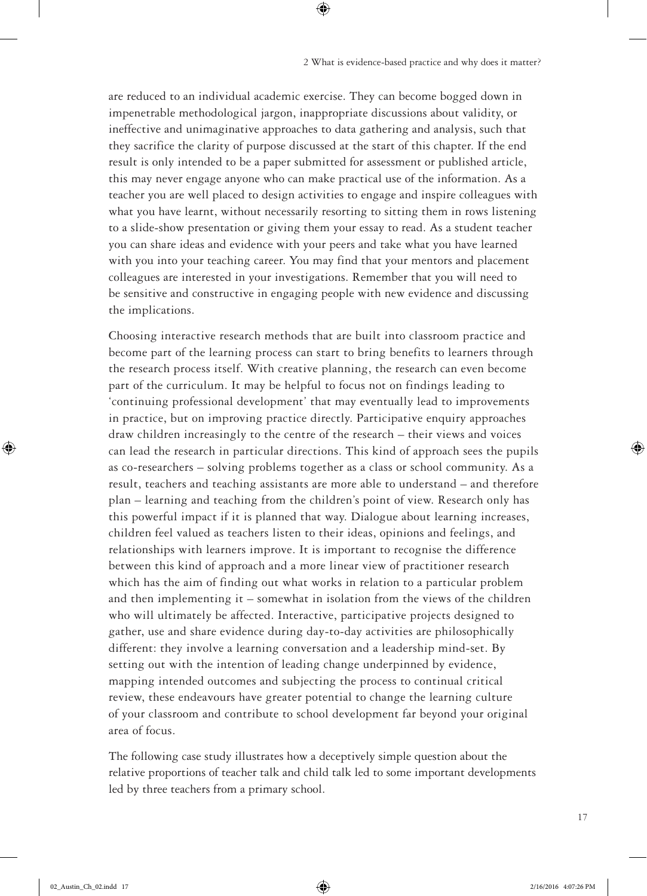are reduced to an individual academic exercise. They can become bogged down in impenetrable methodological jargon, inappropriate discussions about validity, or ineffective and unimaginative approaches to data gathering and analysis, such that they sacrifice the clarity of purpose discussed at the start of this chapter. If the end result is only intended to be a paper submitted for assessment or published article, this may never engage anyone who can make practical use of the information. As a teacher you are well placed to design activities to engage and inspire colleagues with what you have learnt, without necessarily resorting to sitting them in rows listening to a slide-show presentation or giving them your essay to read. As a student teacher you can share ideas and evidence with your peers and take what you have learned with you into your teaching career. You may find that your mentors and placement colleagues are interested in your investigations. Remember that you will need to be sensitive and constructive in engaging people with new evidence and discussing the implications.

 $\bigoplus$ 

Choosing interactive research methods that are built into classroom practice and become part of the learning process can start to bring benefits to learners through the research process itself. With creative planning, the research can even become part of the curriculum. It may be helpful to focus not on findings leading to 'continuing professional development' that may eventually lead to improvements in practice, but on improving practice directly. Participative enquiry approaches draw children increasingly to the centre of the research – their views and voices can lead the research in particular directions. This kind of approach sees the pupils as co-researchers – solving problems together as a class or school community. As a result, teachers and teaching assistants are more able to understand – and therefore plan – learning and teaching from the children's point of view. Research only has this powerful impact if it is planned that way. Dialogue about learning increases, children feel valued as teachers listen to their ideas, opinions and feelings, and relationships with learners improve. It is important to recognise the difference between this kind of approach and a more linear view of practitioner research which has the aim of finding out what works in relation to a particular problem and then implementing it – somewhat in isolation from the views of the children who will ultimately be affected. Interactive, participative projects designed to gather, use and share evidence during day-to-day activities are philosophically different: they involve a learning conversation and a leadership mind-set. By setting out with the intention of leading change underpinned by evidence, mapping intended outcomes and subjecting the process to continual critical review, these endeavours have greater potential to change the learning culture of your classroom and contribute to school development far beyond your original area of focus.

The following case study illustrates how a deceptively simple question about the relative proportions of teacher talk and child talk led to some important developments led by three teachers from a primary school.

⊕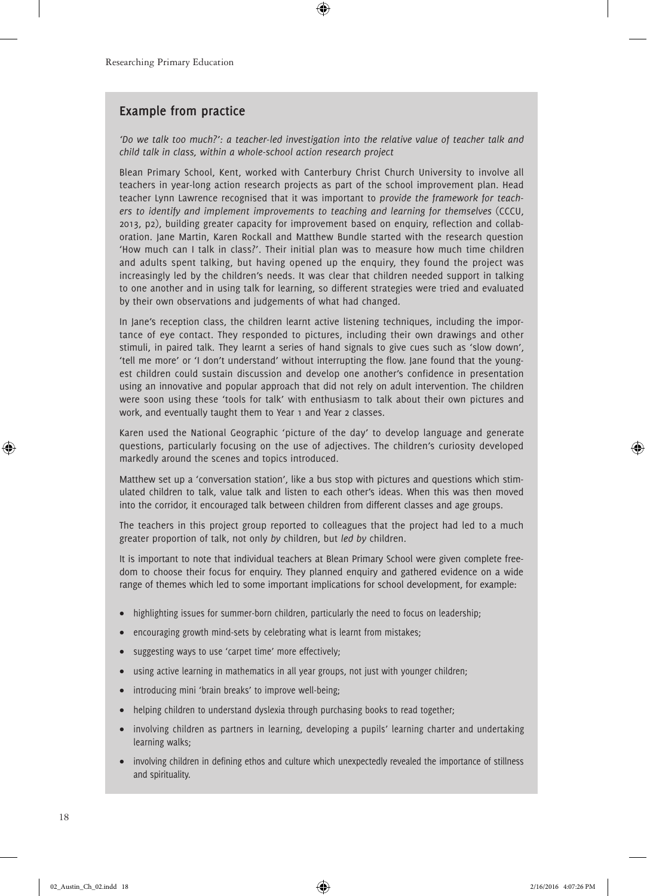#### **Example from practice**

*'Do we talk too much?': a teacher-led investigation into the relative value of teacher talk and child talk in class, within a whole-school action research project*

 $\circledast$ 

Blean Primary School, Kent, worked with Canterbury Christ Church University to involve all teachers in year-long action research projects as part of the school improvement plan. Head teacher Lynn Lawrence recognised that it was important to *provide the framework for teachers to identify and implement improvements to teaching and learning for themselves* (CCCU, 2013, p2), building greater capacity for improvement based on enquiry, reflection and collaboration. Jane Martin, Karen Rockall and Matthew Bundle started with the research question 'How much can I talk in class?'. Their initial plan was to measure how much time children and adults spent talking, but having opened up the enquiry, they found the project was increasingly led by the children's needs. It was clear that children needed support in talking to one another and in using talk for learning, so different strategies were tried and evaluated by their own observations and judgements of what had changed.

In Jane's reception class, the children learnt active listening techniques, including the importance of eye contact. They responded to pictures, including their own drawings and other stimuli, in paired talk. They learnt a series of hand signals to give cues such as 'slow down', 'tell me more' or 'I don't understand' without interrupting the flow. Jane found that the youngest children could sustain discussion and develop one another's confidence in presentation using an innovative and popular approach that did not rely on adult intervention. The children were soon using these 'tools for talk' with enthusiasm to talk about their own pictures and work, and eventually taught them to Year 1 and Year 2 classes.

Karen used the National Geographic 'picture of the day' to develop language and generate questions, particularly focusing on the use of adjectives. The children's curiosity developed markedly around the scenes and topics introduced.

Matthew set up a 'conversation station', like a bus stop with pictures and questions which stimulated children to talk, value talk and listen to each other's ideas. When this was then moved into the corridor, it encouraged talk between children from different classes and age groups.

The teachers in this project group reported to colleagues that the project had led to a much greater proportion of talk, not only *by* children, but *led by* children.

It is important to note that individual teachers at Blean Primary School were given complete freedom to choose their focus for enquiry. They planned enquiry and gathered evidence on a wide range of themes which led to some important implications for school development, for example:

- highlighting issues for summer-born children, particularly the need to focus on leadership;
- encouraging growth mind-sets by celebrating what is learnt from mistakes;
- suggesting ways to use 'carpet time' more effectively;
- using active learning in mathematics in all year groups, not just with younger children;
- introducing mini 'brain breaks' to improve well-being;
- helping children to understand dyslexia through purchasing books to read together;
- involving children as partners in learning, developing a pupils' learning charter and undertaking learning walks;
- involving children in defining ethos and culture which unexpectedly revealed the importance of stillness and spirituality.

18

⊕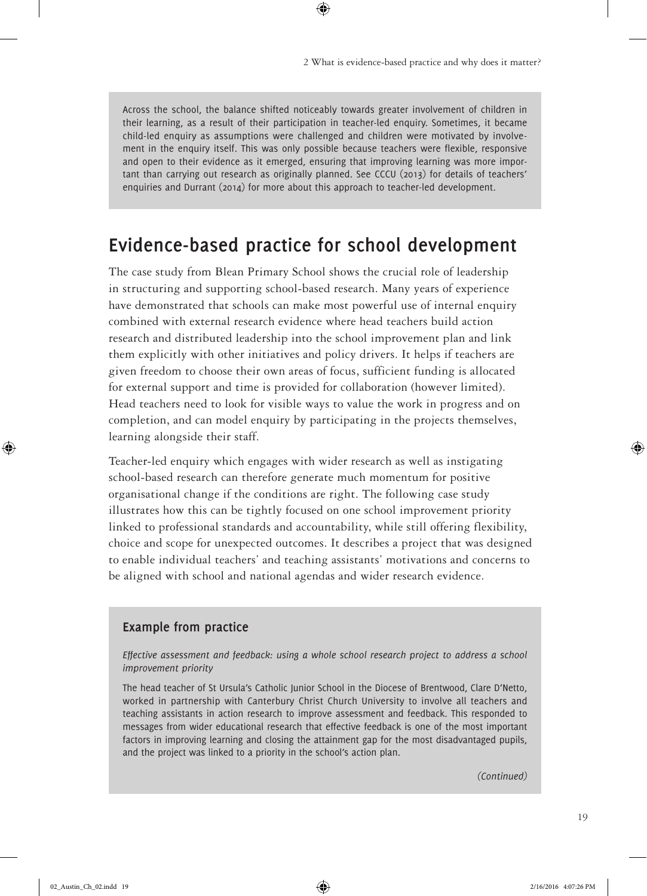Across the school, the balance shifted noticeably towards greater involvement of children in their learning, as a result of their participation in teacher-led enquiry. Sometimes, it became child-led enquiry as assumptions were challenged and children were motivated by involvement in the enquiry itself. This was only possible because teachers were flexible, responsive and open to their evidence as it emerged, ensuring that improving learning was more important than carrying out research as originally planned. See CCCU (2013) for details of teachers' enquiries and Durrant (2014) for more about this approach to teacher-led development.

 $\bigoplus$ 

## **Evidence-based practice for school development**

The case study from Blean Primary School shows the crucial role of leadership in structuring and supporting school-based research. Many years of experience have demonstrated that schools can make most powerful use of internal enquiry combined with external research evidence where head teachers build action research and distributed leadership into the school improvement plan and link them explicitly with other initiatives and policy drivers. It helps if teachers are given freedom to choose their own areas of focus, sufficient funding is allocated for external support and time is provided for collaboration (however limited). Head teachers need to look for visible ways to value the work in progress and on completion, and can model enquiry by participating in the projects themselves, learning alongside their staff.

Teacher-led enquiry which engages with wider research as well as instigating school-based research can therefore generate much momentum for positive organisational change if the conditions are right. The following case study illustrates how this can be tightly focused on one school improvement priority linked to professional standards and accountability, while still offering flexibility, choice and scope for unexpected outcomes. It describes a project that was designed to enable individual teachers' and teaching assistants' motivations and concerns to be aligned with school and national agendas and wider research evidence.

#### **Example from practice**

*Effective assessment and feedback: using a whole school research project to address a school improvement priority*

The head teacher of St Ursula's Catholic Junior School in the Diocese of Brentwood, Clare D'Netto, worked in partnership with Canterbury Christ Church University to involve all teachers and teaching assistants in action research to improve assessment and feedback. This responded to messages from wider educational research that effective feedback is one of the most important factors in improving learning and closing the attainment gap for the most disadvantaged pupils, and the project was linked to a priority in the school's action plan.

*(Continued)*

⊕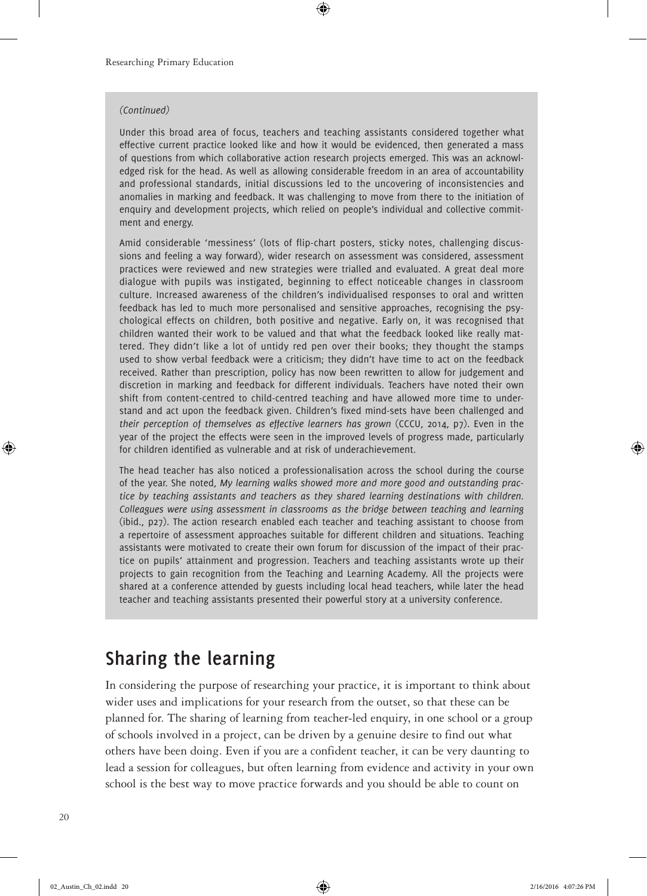#### *(Continued)*

Under this broad area of focus, teachers and teaching assistants considered together what effective current practice looked like and how it would be evidenced, then generated a mass of questions from which collaborative action research projects emerged. This was an acknowledged risk for the head. As well as allowing considerable freedom in an area of accountability and professional standards, initial discussions led to the uncovering of inconsistencies and anomalies in marking and feedback. It was challenging to move from there to the initiation of enquiry and development projects, which relied on people's individual and collective commitment and energy.

⊕

Amid considerable 'messiness' (lots of flip-chart posters, sticky notes, challenging discussions and feeling a way forward), wider research on assessment was considered, assessment practices were reviewed and new strategies were trialled and evaluated. A great deal more dialogue with pupils was instigated, beginning to effect noticeable changes in classroom culture. Increased awareness of the children's individualised responses to oral and written feedback has led to much more personalised and sensitive approaches, recognising the psychological effects on children, both positive and negative. Early on, it was recognised that children wanted their work to be valued and that what the feedback looked like really mattered. They didn't like a lot of untidy red pen over their books; they thought the stamps used to show verbal feedback were a criticism; they didn't have time to act on the feedback received. Rather than prescription, policy has now been rewritten to allow for judgement and discretion in marking and feedback for different individuals. Teachers have noted their own shift from content-centred to child-centred teaching and have allowed more time to understand and act upon the feedback given. Children's fixed mind-sets have been challenged and *their perception of themselves as effective learners has grown* (CCCU, 2014, p7). Even in the year of the project the effects were seen in the improved levels of progress made, particularly for children identified as vulnerable and at risk of underachievement.

The head teacher has also noticed a professionalisation across the school during the course of the year. She noted, *My learning walks showed more and more good and outstanding practice by teaching assistants and teachers as they shared learning destinations with children. Colleagues were using assessment in classrooms as the bridge between teaching and learning* (ibid., p27). The action research enabled each teacher and teaching assistant to choose from a repertoire of assessment approaches suitable for different children and situations. Teaching assistants were motivated to create their own forum for discussion of the impact of their practice on pupils' attainment and progression. Teachers and teaching assistants wrote up their projects to gain recognition from the Teaching and Learning Academy. All the projects were shared at a conference attended by guests including local head teachers, while later the head teacher and teaching assistants presented their powerful story at a university conference.

## **Sharing the learning**

In considering the purpose of researching your practice, it is important to think about wider uses and implications for your research from the outset, so that these can be planned for. The sharing of learning from teacher-led enquiry, in one school or a group of schools involved in a project, can be driven by a genuine desire to find out what others have been doing. Even if you are a confident teacher, it can be very daunting to lead a session for colleagues, but often learning from evidence and activity in your own school is the best way to move practice forwards and you should be able to count on

⊕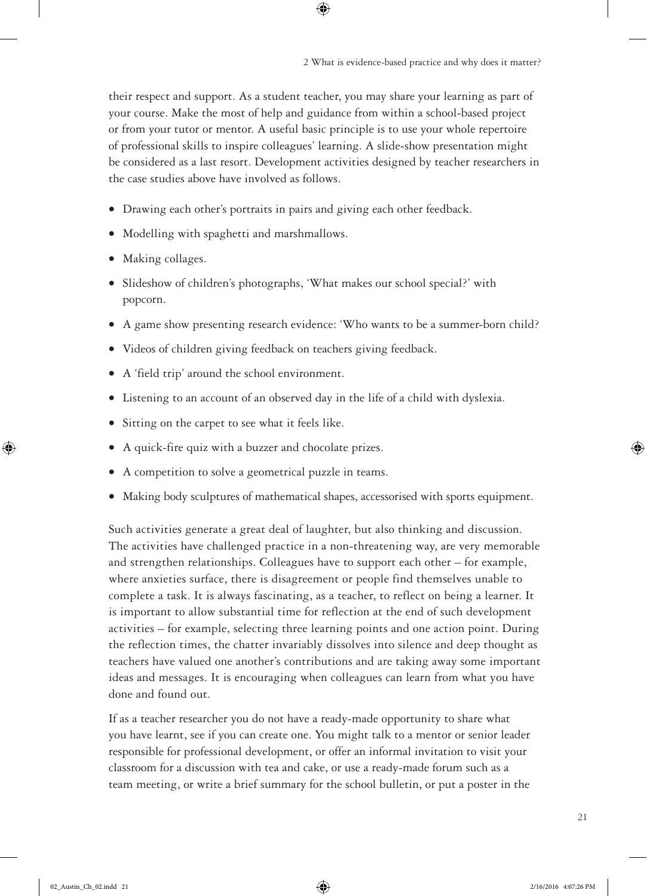2 What is evidence-based practice and why does it matter?

their respect and support. As a student teacher, you may share your learning as part of your course. Make the most of help and guidance from within a school-based project or from your tutor or mentor. A useful basic principle is to use your whole repertoire of professional skills to inspire colleagues' learning. A slide-show presentation might be considered as a last resort. Development activities designed by teacher researchers in the case studies above have involved as follows.

- Drawing each other's portraits in pairs and giving each other feedback.
- Modelling with spaghetti and marshmallows.
- Making collages.
- Slideshow of children's photographs, 'What makes our school special?' with popcorn.
- A game show presenting research evidence: 'Who wants to be a summer-born child?
- Videos of children giving feedback on teachers giving feedback.
- A 'field trip' around the school environment.
- Listening to an account of an observed day in the life of a child with dyslexia.
- Sitting on the carpet to see what it feels like.
- A quick-fire quiz with a buzzer and chocolate prizes.
- A competition to solve a geometrical puzzle in teams.
- Making body sculptures of mathematical shapes, accessorised with sports equipment.

Such activities generate a great deal of laughter, but also thinking and discussion. The activities have challenged practice in a non-threatening way, are very memorable and strengthen relationships. Colleagues have to support each other – for example, where anxieties surface, there is disagreement or people find themselves unable to complete a task. It is always fascinating, as a teacher, to reflect on being a learner. It is important to allow substantial time for reflection at the end of such development activities – for example, selecting three learning points and one action point. During the reflection times, the chatter invariably dissolves into silence and deep thought as teachers have valued one another's contributions and are taking away some important ideas and messages. It is encouraging when colleagues can learn from what you have done and found out.

If as a teacher researcher you do not have a ready-made opportunity to share what you have learnt, see if you can create one. You might talk to a mentor or senior leader responsible for professional development, or offer an informal invitation to visit your classroom for a discussion with tea and cake, or use a ready-made forum such as a team meeting, or write a brief summary for the school bulletin, or put a poster in the ⊕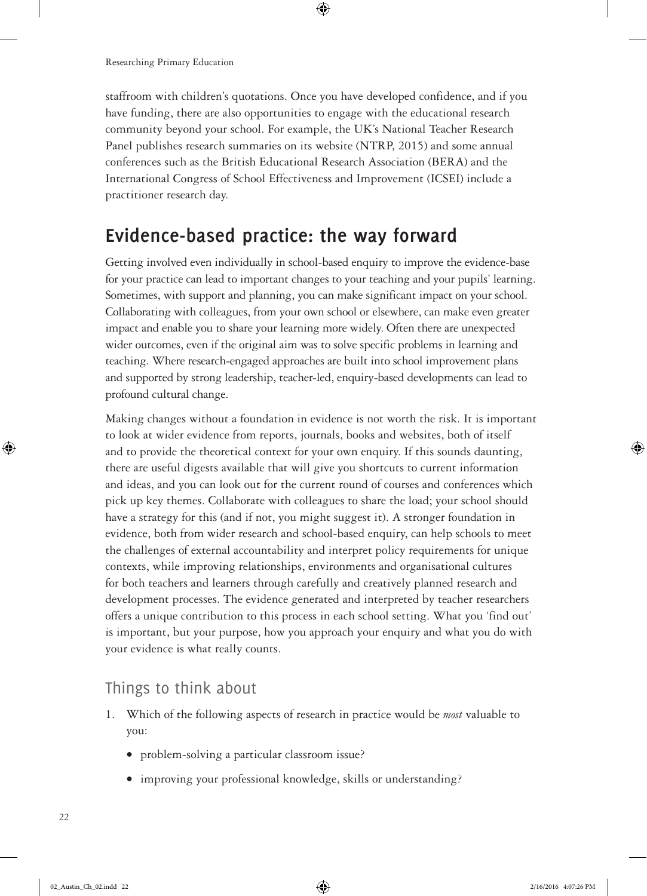staffroom with children's quotations. Once you have developed confidence, and if you have funding, there are also opportunities to engage with the educational research community beyond your school. For example, the UK's National Teacher Research Panel publishes research summaries on its website (NTRP, 2015) and some annual conferences such as the British Educational Research Association (BERA) and the International Congress of School Effectiveness and Improvement (ICSEI) include a practitioner research day.

 $\bigoplus$ 

## **Evidence-based practice: the way forward**

Getting involved even individually in school-based enquiry to improve the evidence-base for your practice can lead to important changes to your teaching and your pupils' learning. Sometimes, with support and planning, you can make significant impact on your school. Collaborating with colleagues, from your own school or elsewhere, can make even greater impact and enable you to share your learning more widely. Often there are unexpected wider outcomes, even if the original aim was to solve specific problems in learning and teaching. Where research-engaged approaches are built into school improvement plans and supported by strong leadership, teacher-led, enquiry-based developments can lead to profound cultural change.

Making changes without a foundation in evidence is not worth the risk. It is important to look at wider evidence from reports, journals, books and websites, both of itself and to provide the theoretical context for your own enquiry. If this sounds daunting, there are useful digests available that will give you shortcuts to current information and ideas, and you can look out for the current round of courses and conferences which pick up key themes. Collaborate with colleagues to share the load; your school should have a strategy for this (and if not, you might suggest it). A stronger foundation in evidence, both from wider research and school-based enquiry, can help schools to meet the challenges of external accountability and interpret policy requirements for unique contexts, while improving relationships, environments and organisational cultures for both teachers and learners through carefully and creatively planned research and development processes. The evidence generated and interpreted by teacher researchers offers a unique contribution to this process in each school setting. What you 'find out' is important, but your purpose, how you approach your enquiry and what you do with your evidence is what really counts.

#### Things to think about

- 1. Which of the following aspects of research in practice would be *most* valuable to you:
	- problem-solving a particular classroom issue?
	- improving your professional knowledge, skills or understanding?

⊕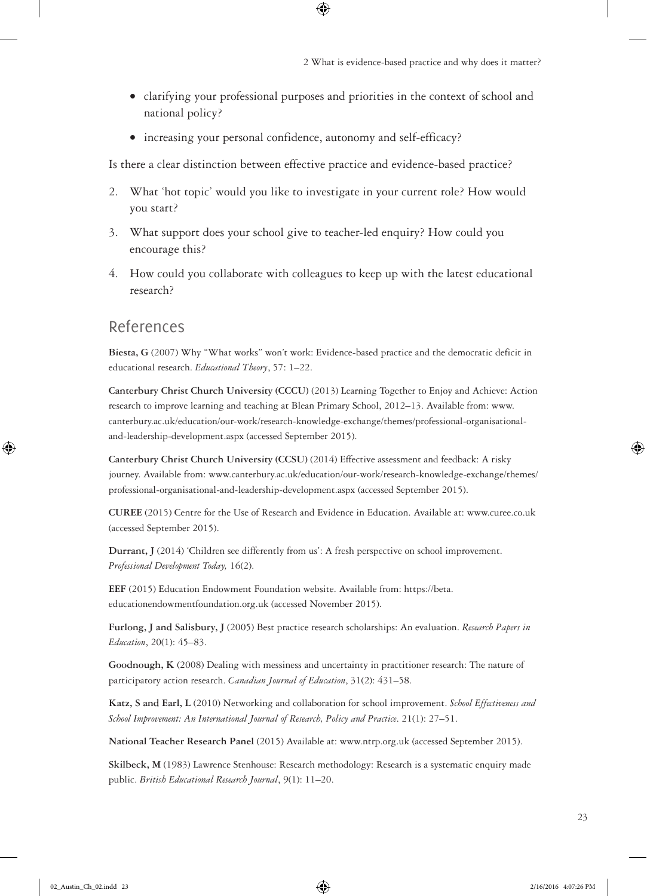• clarifying your professional purposes and priorities in the context of school and national policy?

 $\bigoplus$ 

• increasing your personal confidence, autonomy and self-efficacy?

Is there a clear distinction between effective practice and evidence-based practice?

- 2. What 'hot topic' would you like to investigate in your current role? How would you start?
- 3. What support does your school give to teacher-led enquiry? How could you encourage this?
- 4. How could you collaborate with colleagues to keep up with the latest educational research?

#### References

⊕

**Biesta, G** (2007) Why "What works" won't work: Evidence-based practice and the democratic deficit in educational research. *Educational Theory*, 57: 1–22.

**Canterbury Christ Church University (CCCU)** (2013) Learning Together to Enjoy and Achieve: Action research to improve learning and teaching at Blean Primary School, 2012–13. Available from: www. canterbury.ac.uk/education/our-work/research-knowledge-exchange/themes/professional-organisationaland-leadership-development.aspx (accessed September 2015).

**Canterbury Christ Church University (CCSU)** (2014) Effective assessment and feedback: A risky journey. Available from: www.canterbury.ac.uk/education/our-work/research-knowledge-exchange/themes/ professional-organisational-and-leadership-development.aspx (accessed September 2015).

**CUREE** (2015) Centre for the Use of Research and Evidence in Education. Available at: www.curee.co.uk (accessed September 2015).

**Durrant, J** (2014) 'Children see differently from us': A fresh perspective on school improvement. *Professional Development Today,* 16(2).

**EEF** (2015) Education Endowment Foundation website. Available from: https://beta. educationendowmentfoundation.org.uk (accessed November 2015).

**Furlong, J and Salisbury, J** (2005) Best practice research scholarships: An evaluation. *Research Papers in Education*, 20(1): 45–83.

**Goodnough, K** (2008) Dealing with messiness and uncertainty in practitioner research: The nature of participatory action research. *Canadian Journal of Education*, 31(2): 431–58.

**Katz, S and Earl, L** (2010) Networking and collaboration for school improvement. *School Effectiveness and School Improvement: An International Journal of Research, Policy and Practice*. 21(1): 27–51.

**National Teacher Research Panel** (2015) Available at: www.ntrp.org.uk (accessed September 2015).

**Skilbeck, M** (1983) Lawrence Stenhouse: Research methodology: Research is a systematic enquiry made public. *British Educational Research Journal*, 9(1): 11–20.